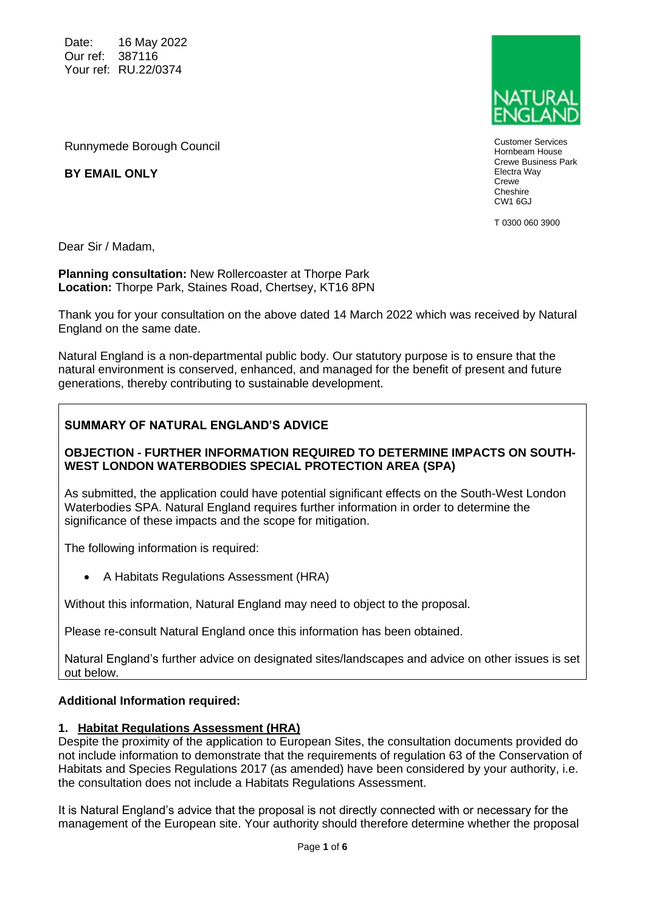Date: 16 May 2022 Our ref: 387116 Your ref: RU.22/0374

Runnymede Borough Council



Customer Services Hornbeam House Crewe Business Park Electra Way Crewe Cheshire CW1 6GJ

T 0300 060 3900

**BY EMAIL ONLY**

Dear Sir / Madam,

**Planning consultation:** New Rollercoaster at Thorpe Park **Location:** Thorpe Park, Staines Road, Chertsey, KT16 8PN

Thank you for your consultation on the above dated 14 March 2022 which was received by Natural England on the same date.

Natural England is a non-departmental public body. Our statutory purpose is to ensure that the natural environment is conserved, enhanced, and managed for the benefit of present and future generations, thereby contributing to sustainable development.

# **SUMMARY OF NATURAL ENGLAND'S ADVICE**

#### **OBJECTION - FURTHER INFORMATION REQUIRED TO DETERMINE IMPACTS ON SOUTH-WEST LONDON WATERBODIES SPECIAL PROTECTION AREA (SPA)**

As submitted, the application could have potential significant effects on the South-West London Waterbodies SPA. Natural England requires further information in order to determine the significance of these impacts and the scope for mitigation.

The following information is required:

• A Habitats Regulations Assessment (HRA)

Without this information, Natural England may need to object to the proposal.

Please re-consult Natural England once this information has been obtained.

Natural England's further advice on designated sites/landscapes and advice on other issues is set out below.

#### **Additional Information required:**

#### **1. Habitat Regulations Assessment (HRA)**

Despite the proximity of the application to European Sites, the consultation documents provided do not include information to demonstrate that the requirements of regulation 63 of the Conservation of Habitats and Species Regulations 2017 (as amended) have been considered by your authority, i.e. the consultation does not include a Habitats Regulations Assessment.

It is Natural England's advice that the proposal is not directly connected with or necessary for the management of the European site. Your authority should therefore determine whether the proposal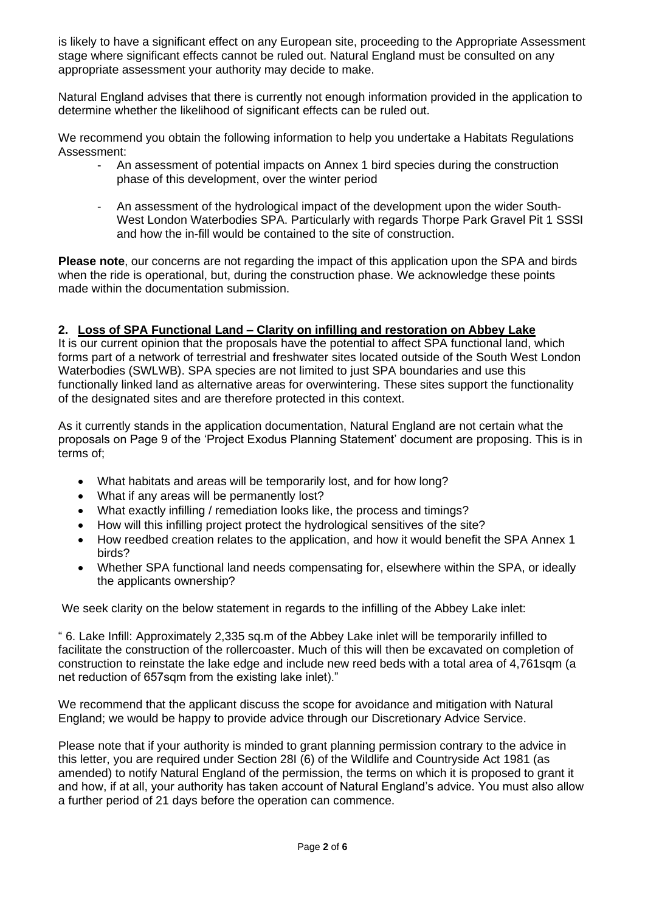is likely to have a significant effect on any European site, proceeding to the Appropriate Assessment stage where significant effects cannot be ruled out. Natural England must be consulted on any appropriate assessment your authority may decide to make.

Natural England advises that there is currently not enough information provided in the application to determine whether the likelihood of significant effects can be ruled out.

We recommend you obtain the following information to help you undertake a Habitats Regulations Assessment:

- An assessment of potential impacts on Annex 1 bird species during the construction phase of this development, over the winter period
- An assessment of the hydrological impact of the development upon the wider South-West London Waterbodies SPA. Particularly with regards Thorpe Park Gravel Pit 1 SSSI and how the in-fill would be contained to the site of construction.

**Please note**, our concerns are not regarding the impact of this application upon the SPA and birds when the ride is operational, but, during the construction phase. We acknowledge these points made within the documentation submission.

# **2. Loss of SPA Functional Land – Clarity on infilling and restoration on Abbey Lake**

It is our current opinion that the proposals have the potential to affect SPA functional land, which forms part of a network of terrestrial and freshwater sites located outside of the South West London Waterbodies (SWLWB). SPA species are not limited to just SPA boundaries and use this functionally linked land as alternative areas for overwintering. These sites support the functionality of the designated sites and are therefore protected in this context.

As it currently stands in the application documentation, Natural England are not certain what the proposals on Page 9 of the 'Project Exodus Planning Statement' document are proposing. This is in terms of;

- What habitats and areas will be temporarily lost, and for how long?
- What if any areas will be permanently lost?
- What exactly infilling / remediation looks like, the process and timings?
- How will this infilling project protect the hydrological sensitives of the site?
- How reedbed creation relates to the application, and how it would benefit the SPA Annex 1 birds?
- Whether SPA functional land needs compensating for, elsewhere within the SPA, or ideally the applicants ownership?

We seek clarity on the below statement in regards to the infilling of the Abbey Lake inlet:

" 6. Lake Infill: Approximately 2,335 sq.m of the Abbey Lake inlet will be temporarily infilled to facilitate the construction of the rollercoaster. Much of this will then be excavated on completion of construction to reinstate the lake edge and include new reed beds with a total area of 4,761sqm (a net reduction of 657sqm from the existing lake inlet)."

We recommend that the applicant discuss the scope for avoidance and mitigation with Natural England; we would be happy to provide advice through our Discretionary Advice Service.

Please note that if your authority is minded to grant planning permission contrary to the advice in this letter, you are required under Section 28I (6) of the Wildlife and Countryside Act 1981 (as amended) to notify Natural England of the permission, the terms on which it is proposed to grant it and how, if at all, your authority has taken account of Natural England's advice. You must also allow a further period of 21 days before the operation can commence.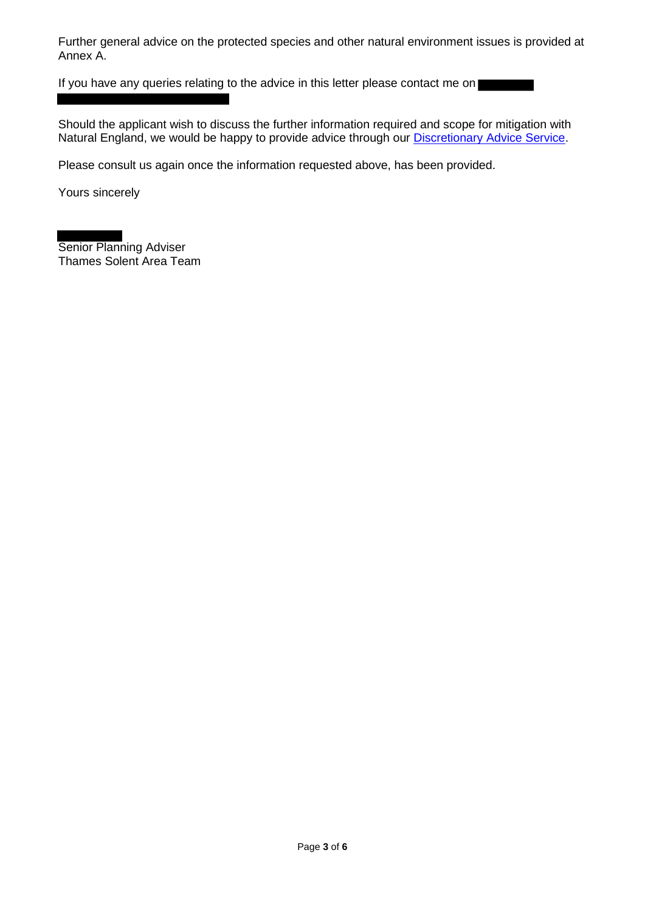Further general advice on the protected species and other natural environment issues is provided at Annex A.

If you have any queries relating to the advice in this letter please contact me on

Should the applicant wish to discuss the further information required and scope for mitigation with Natural England, we would be happy to provide advice through our Discretionary Advice Service.

Please consult us again once the information requested above, has been provided.

Yours sincerely

Senior Planning Adviser Thames Solent Area Team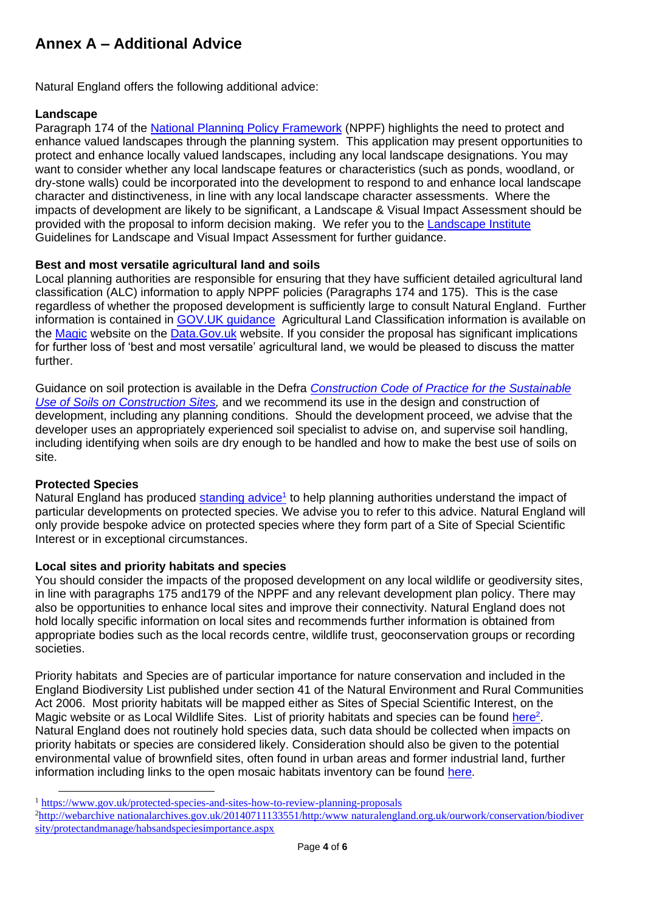# **Annex A – Additional Advice**

Natural England offers the following additional advice:

## **Landscape**

Paragraph 174 of the National Planning Policy Framework (NPPF) highlights the need to protect and enhance valued landscapes through the planning system. This application may present opportunities to protect and enhance locally valued landscapes, including any local landscape designations. You may want to consider whether any local landscape features or characteristics (such as ponds, woodland, or dry-stone walls) could be incorporated into the development to respond to and enhance local landscape character and distinctiveness, in line with any local landscape character assessments. Where the impacts of development are likely to be significant, a Landscape & Visual Impact Assessment should be provided with the proposal to inform decision making. We refer you to the Landscape Institute Guidelines for Landscape and Visual Impact Assessment for further guidance.

### **Best and most versatile agricultural land and soils**

Local planning authorities are responsible for ensuring that they have sufficient detailed agricultural land classification (ALC) information to apply NPPF policies (Paragraphs 174 and 175). This is the case regardless of whether the proposed development is sufficiently large to consult Natural England. Further information is contained in GOV.UK guidance Agricultural Land Classification information is available on the Magic website on the Data.Gov.uk website. If you consider the proposal has significant implications for further loss of 'best and most versatile' agricultural land, we would be pleased to discuss the matter further.

Guidance on soil protection is available in the Defra *Construction Code of Practice for the Sustainable Use of Soils on Construction Sites,* and we recommend its use in the design and construction of development, including any planning conditions. Should the development proceed, we advise that the developer uses an appropriately experienced soil specialist to advise on, and supervise soil handling, including identifying when soils are dry enough to be handled and how to make the best use of soils on site.

### **Protected Species**

Natural England has produced standing advice<sup>1</sup> to help planning authorities understand the impact of particular developments on protected species. We advise you to refer to this advice. Natural England will only provide bespoke advice on protected species where they form part of a Site of Special Scientific Interest or in exceptional circumstances.

### **Local sites and priority habitats and species**

You should consider the impacts of the proposed development on any local wildlife or geodiversity sites, in line with paragraphs 175 and179 of the NPPF and any relevant development plan policy. There may also be opportunities to enhance local sites and improve their connectivity. Natural England does not hold locally specific information on local sites and recommends further information is obtained from appropriate bodies such as the local records centre, wildlife trust, geoconservation groups or recording societies.

Priority habitats and Species are of particular importance for nature conservation and included in the England Biodiversity List published under section 41 of the Natural Environment and Rural Communities Act 2006. Most priority habitats will be mapped either as Sites of Special Scientific Interest, on the Magic website or as Local Wildlife Sites. List of priority habitats and species can be found here<sup>2</sup>. Natural England does not routinely hold species data, such data should be collected when impacts on priority habitats or species are considered likely. Consideration should also be given to the potential environmental value of brownfield sites, often found in urban areas and former industrial land, further information including links to the open mosaic habitats inventory can be found here.

<sup>1</sup> https://www.gov.uk/protected-species-and-sites-how-to-review-planning-proposals

<sup>&</sup>lt;sup>2</sup>http://webarchive nationalarchives.gov.uk/20140711133551/http:/www.naturalengland.org.uk/ourwork/conservation/biodiver sity/protectandmanage/habsandspeciesimportance.aspx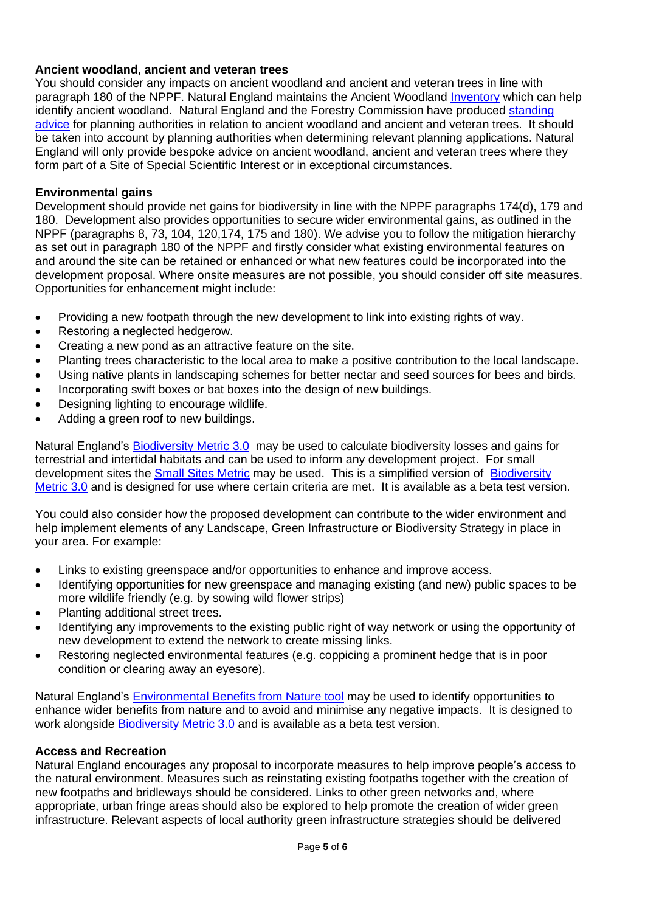# **Ancient woodland, ancient and veteran trees**

You should consider any impacts on ancient woodland and ancient and veteran trees in line with paragraph 180 of the NPPF. Natural England maintains the Ancient Woodland Inventory which can help identify ancient woodland. Natural England and the Forestry Commission have produced standing advice for planning authorities in relation to ancient woodland and ancient and veteran trees. It should be taken into account by planning authorities when determining relevant planning applications. Natural England will only provide bespoke advice on ancient woodland, ancient and veteran trees where they form part of a Site of Special Scientific Interest or in exceptional circumstances.

### **Environmental gains**

Development should provide net gains for biodiversity in line with the NPPF paragraphs 174(d), 179 and 180. Development also provides opportunities to secure wider environmental gains, as outlined in the NPPF (paragraphs 8, 73, 104, 120,174, 175 and 180). We advise you to follow the mitigation hierarchy as set out in paragraph 180 of the NPPF and firstly consider what existing environmental features on and around the site can be retained or enhanced or what new features could be incorporated into the development proposal. Where onsite measures are not possible, you should consider off site measures. Opportunities for enhancement might include:

- Providing a new footpath through the new development to link into existing rights of way.
- Restoring a neglected hedgerow.
- Creating a new pond as an attractive feature on the site.
- Planting trees characteristic to the local area to make a positive contribution to the local landscape.
- Using native plants in landscaping schemes for better nectar and seed sources for bees and birds.
- Incorporating swift boxes or bat boxes into the design of new buildings.
- Designing lighting to encourage wildlife.
- Adding a green roof to new buildings.

Natural England's Biodiversity Metric 3.0 may be used to calculate biodiversity losses and gains for terrestrial and intertidal habitats and can be used to inform any development project. For small development sites the Small Sites Metric may be used. This is a simplified version of Biodiversity Metric 3.0 and is designed for use where certain criteria are met. It is available as a beta test version.

You could also consider how the proposed development can contribute to the wider environment and help implement elements of any Landscape, Green Infrastructure or Biodiversity Strategy in place in your area. For example:

- Links to existing greenspace and/or opportunities to enhance and improve access.
- Identifying opportunities for new greenspace and managing existing (and new) public spaces to be more wildlife friendly (e.g. by sowing wild flower strips)
- Planting additional street trees.
- Identifying any improvements to the existing public right of way network or using the opportunity of new development to extend the network to create missing links.
- Restoring neglected environmental features (e.g. coppicing a prominent hedge that is in poor condition or clearing away an eyesore).

Natural England's Environmental Benefits from Nature tool may be used to identify opportunities to enhance wider benefits from nature and to avoid and minimise any negative impacts. It is designed to work alongside **Biodiversity Metric 3.0** and is available as a beta test version.

### **Access and Recreation**

Natural England encourages any proposal to incorporate measures to help improve people's access to the natural environment. Measures such as reinstating existing footpaths together with the creation of new footpaths and bridleways should be considered. Links to other green networks and, where appropriate, urban fringe areas should also be explored to help promote the creation of wider green infrastructure. Relevant aspects of local authority green infrastructure strategies should be delivered